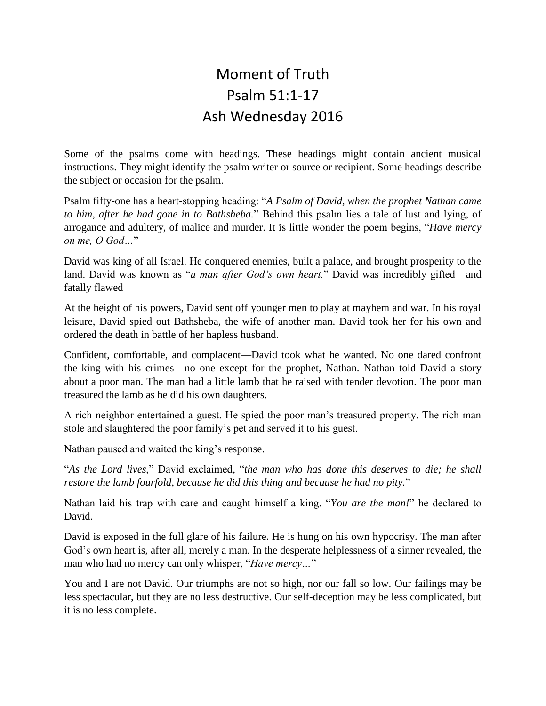## Moment of Truth Psalm 51:1-17 Ash Wednesday 2016

Some of the psalms come with headings. These headings might contain ancient musical instructions. They might identify the psalm writer or source or recipient. Some headings describe the subject or occasion for the psalm.

Psalm fifty-one has a heart-stopping heading: "*A Psalm of David, when the prophet Nathan came to him, after he had gone in to Bathsheba.*" Behind this psalm lies a tale of lust and lying, of arrogance and adultery, of malice and murder. It is little wonder the poem begins, "*Have mercy on me, O God…*"

David was king of all Israel. He conquered enemies, built a palace, and brought prosperity to the land. David was known as "*a man after God's own heart.*" David was incredibly gifted—and fatally flawed

At the height of his powers, David sent off younger men to play at mayhem and war. In his royal leisure, David spied out Bathsheba, the wife of another man. David took her for his own and ordered the death in battle of her hapless husband.

Confident, comfortable, and complacent—David took what he wanted. No one dared confront the king with his crimes—no one except for the prophet, Nathan. Nathan told David a story about a poor man. The man had a little lamb that he raised with tender devotion. The poor man treasured the lamb as he did his own daughters.

A rich neighbor entertained a guest. He spied the poor man's treasured property. The rich man stole and slaughtered the poor family's pet and served it to his guest.

Nathan paused and waited the king's response.

"*As the Lord lives*," David exclaimed, "*the man who has done this deserves to die; he shall restore the lamb fourfold, because he did this thing and because he had no pity.*"

Nathan laid his trap with care and caught himself a king. "*You are the man!*" he declared to David.

David is exposed in the full glare of his failure. He is hung on his own hypocrisy. The man after God's own heart is, after all, merely a man. In the desperate helplessness of a sinner revealed, the man who had no mercy can only whisper, "*Have mercy…*"

You and I are not David. Our triumphs are not so high, nor our fall so low. Our failings may be less spectacular, but they are no less destructive. Our self-deception may be less complicated, but it is no less complete.